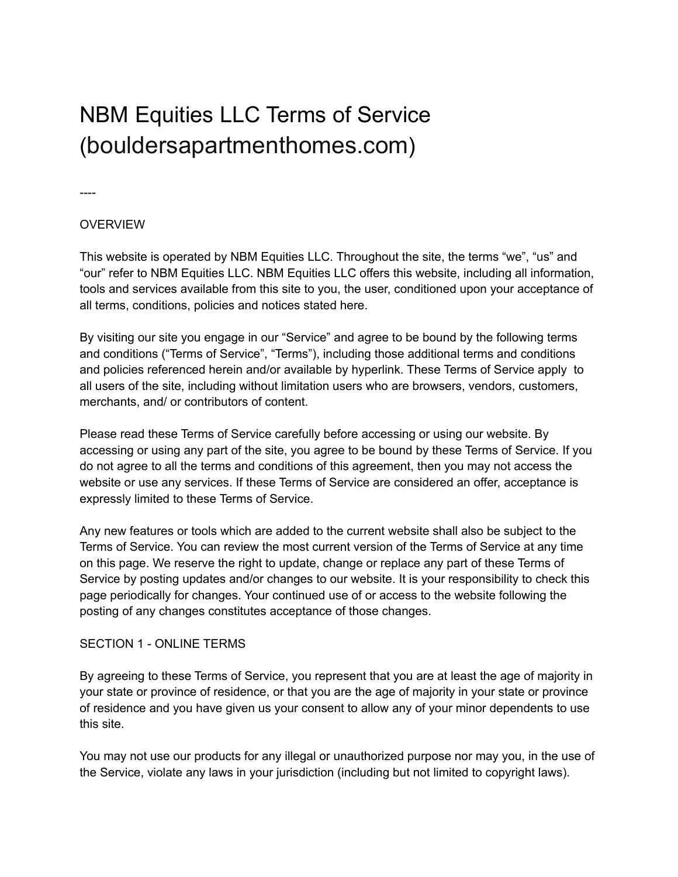# NBM Equities LLC Terms of Service (bouldersapartmenthomes.com)

----

# **OVERVIEW**

This website is operated by NBM Equities LLC. Throughout the site, the terms "we", "us" and "our" refer to NBM Equities LLC. NBM Equities LLC offers this website, including all information, tools and services available from this site to you, the user, conditioned upon your acceptance of all terms, conditions, policies and notices stated here.

By visiting our site you engage in our "Service" and agree to be bound by the following terms and conditions ("Terms of Service", "Terms"), including those additional terms and conditions and policies referenced herein and/or available by hyperlink. These Terms of Service apply to all users of the site, including without limitation users who are browsers, vendors, customers, merchants, and/ or contributors of content.

Please read these Terms of Service carefully before accessing or using our website. By accessing or using any part of the site, you agree to be bound by these Terms of Service. If you do not agree to all the terms and conditions of this agreement, then you may not access the website or use any services. If these Terms of Service are considered an offer, acceptance is expressly limited to these Terms of Service.

Any new features or tools which are added to the current website shall also be subject to the Terms of Service. You can review the most current version of the Terms of Service at any time on this page. We reserve the right to update, change or replace any part of these Terms of Service by posting updates and/or changes to our website. It is your responsibility to check this page periodically for changes. Your continued use of or access to the website following the posting of any changes constitutes acceptance of those changes.

## SECTION 1 - ONLINE TERMS

By agreeing to these Terms of Service, you represent that you are at least the age of majority in your state or province of residence, or that you are the age of majority in your state or province of residence and you have given us your consent to allow any of your minor dependents to use this site.

You may not use our products for any illegal or unauthorized purpose nor may you, in the use of the Service, violate any laws in your jurisdiction (including but not limited to copyright laws).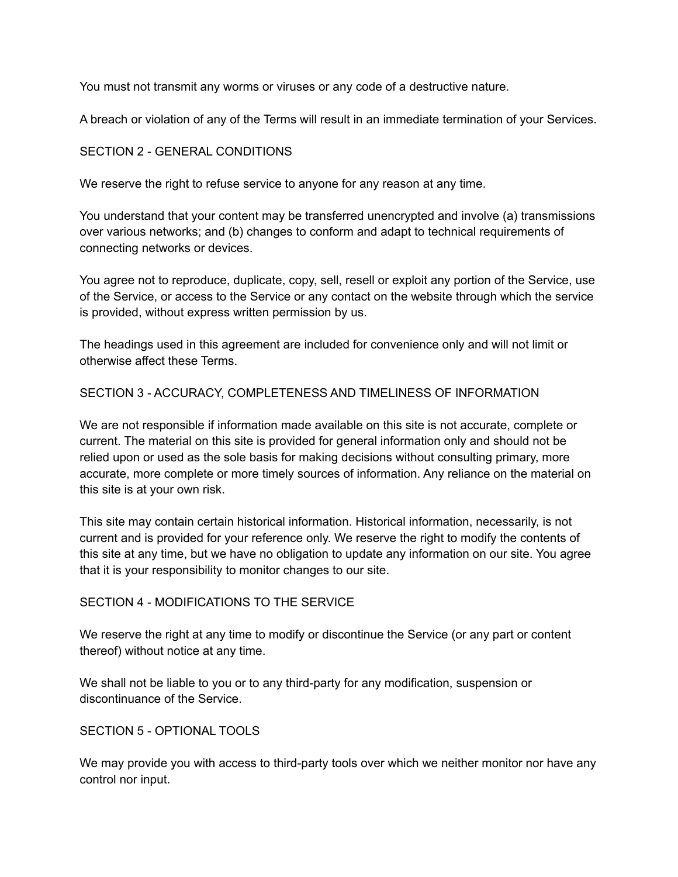You must not transmit any worms or viruses or any code of a destructive nature.

A breach or violation of any of the Terms will result in an immediate termination of your Services.

## SECTION 2 - GENERAL CONDITIONS

We reserve the right to refuse service to anyone for any reason at any time.

You understand that your content may be transferred unencrypted and involve (a) transmissions over various networks; and (b) changes to conform and adapt to technical requirements of connecting networks or devices.

You agree not to reproduce, duplicate, copy, sell, resell or exploit any portion of the Service, use of the Service, or access to the Service or any contact on the website through which the service is provided, without express written permission by us.

The headings used in this agreement are included for convenience only and will not limit or otherwise affect these Terms.

## SECTION 3 - ACCURACY, COMPLETENESS AND TIMELINESS OF INFORMATION

We are not responsible if information made available on this site is not accurate, complete or current. The material on this site is provided for general information only and should not be relied upon or used as the sole basis for making decisions without consulting primary, more accurate, more complete or more timely sources of information. Any reliance on the material on this site is at your own risk.

This site may contain certain historical information. Historical information, necessarily, is not current and is provided for your reference only. We reserve the right to modify the contents of this site at any time, but we have no obligation to update any information on our site. You agree that it is your responsibility to monitor changes to our site.

## SECTION 4 - MODIFICATIONS TO THE SERVICE

We reserve the right at any time to modify or discontinue the Service (or any part or content thereof) without notice at any time.

We shall not be liable to you or to any third-party for any modification, suspension or discontinuance of the Service.

## SECTION 5 - OPTIONAL TOOLS

We may provide you with access to third-party tools over which we neither monitor nor have any control nor input.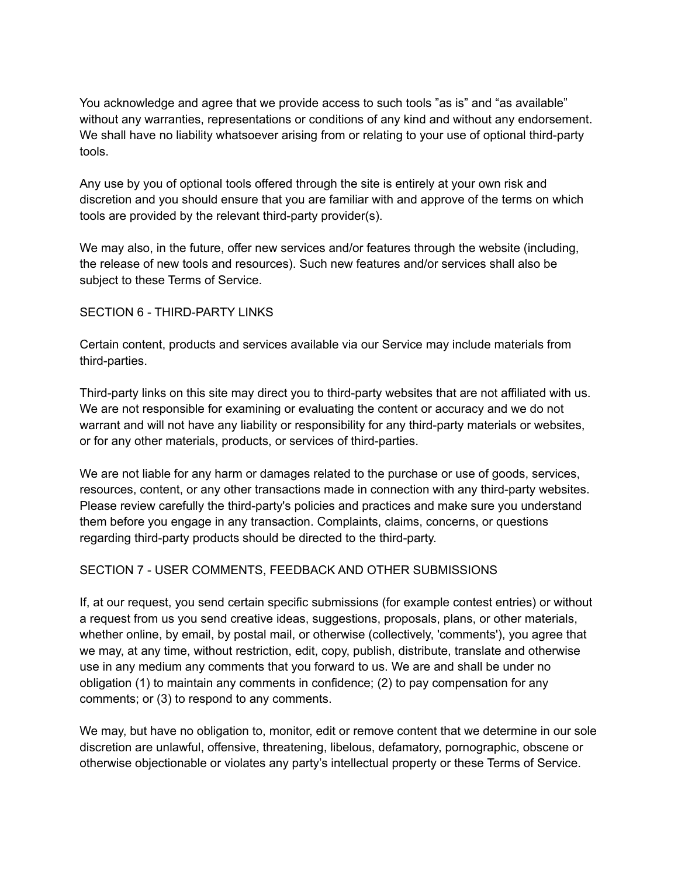You acknowledge and agree that we provide access to such tools "as is" and "as available" without any warranties, representations or conditions of any kind and without any endorsement. We shall have no liability whatsoever arising from or relating to your use of optional third-party tools.

Any use by you of optional tools offered through the site is entirely at your own risk and discretion and you should ensure that you are familiar with and approve of the terms on which tools are provided by the relevant third-party provider(s).

We may also, in the future, offer new services and/or features through the website (including, the release of new tools and resources). Such new features and/or services shall also be subject to these Terms of Service.

## SECTION 6 - THIRD-PARTY LINKS

Certain content, products and services available via our Service may include materials from third-parties.

Third-party links on this site may direct you to third-party websites that are not affiliated with us. We are not responsible for examining or evaluating the content or accuracy and we do not warrant and will not have any liability or responsibility for any third-party materials or websites, or for any other materials, products, or services of third-parties.

We are not liable for any harm or damages related to the purchase or use of goods, services, resources, content, or any other transactions made in connection with any third-party websites. Please review carefully the third-party's policies and practices and make sure you understand them before you engage in any transaction. Complaints, claims, concerns, or questions regarding third-party products should be directed to the third-party.

## SECTION 7 - USER COMMENTS, FEEDBACK AND OTHER SUBMISSIONS

If, at our request, you send certain specific submissions (for example contest entries) or without a request from us you send creative ideas, suggestions, proposals, plans, or other materials, whether online, by email, by postal mail, or otherwise (collectively, 'comments'), you agree that we may, at any time, without restriction, edit, copy, publish, distribute, translate and otherwise use in any medium any comments that you forward to us. We are and shall be under no obligation (1) to maintain any comments in confidence; (2) to pay compensation for any comments; or (3) to respond to any comments.

We may, but have no obligation to, monitor, edit or remove content that we determine in our sole discretion are unlawful, offensive, threatening, libelous, defamatory, pornographic, obscene or otherwise objectionable or violates any party's intellectual property or these Terms of Service.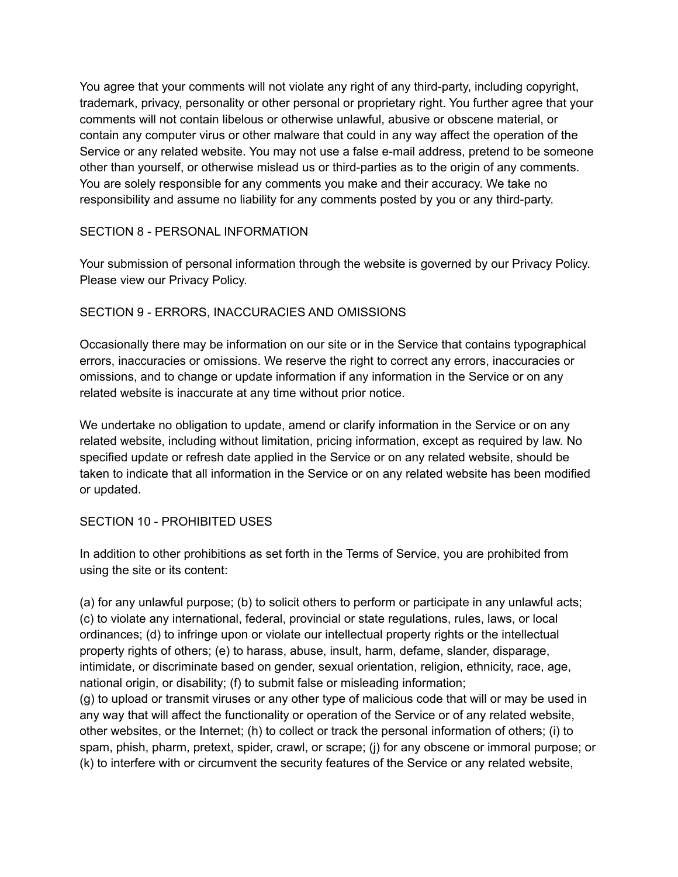You agree that your comments will not violate any right of any third-party, including copyright, trademark, privacy, personality or other personal or proprietary right. You further agree that your comments will not contain libelous or otherwise unlawful, abusive or obscene material, or contain any computer virus or other malware that could in any way affect the operation of the Service or any related website. You may not use a false e-mail address, pretend to be someone other than yourself, or otherwise mislead us or third-parties as to the origin of any comments. You are solely responsible for any comments you make and their accuracy. We take no responsibility and assume no liability for any comments posted by you or any third-party.

## SECTION 8 - PERSONAL INFORMATION

Your submission of personal information through the website is governed by our Privacy Policy. Please view our Privacy Policy.

## SECTION 9 - ERRORS, INACCURACIES AND OMISSIONS

Occasionally there may be information on our site or in the Service that contains typographical errors, inaccuracies or omissions. We reserve the right to correct any errors, inaccuracies or omissions, and to change or update information if any information in the Service or on any related website is inaccurate at any time without prior notice.

We undertake no obligation to update, amend or clarify information in the Service or on any related website, including without limitation, pricing information, except as required by law. No specified update or refresh date applied in the Service or on any related website, should be taken to indicate that all information in the Service or on any related website has been modified or updated.

# SECTION 10 - PROHIBITED USES

In addition to other prohibitions as set forth in the Terms of Service, you are prohibited from using the site or its content:

(a) for any unlawful purpose; (b) to solicit others to perform or participate in any unlawful acts; (c) to violate any international, federal, provincial or state regulations, rules, laws, or local ordinances; (d) to infringe upon or violate our intellectual property rights or the intellectual property rights of others; (e) to harass, abuse, insult, harm, defame, slander, disparage, intimidate, or discriminate based on gender, sexual orientation, religion, ethnicity, race, age, national origin, or disability; (f) to submit false or misleading information;

(g) to upload or transmit viruses or any other type of malicious code that will or may be used in any way that will affect the functionality or operation of the Service or of any related website, other websites, or the Internet; (h) to collect or track the personal information of others; (i) to spam, phish, pharm, pretext, spider, crawl, or scrape; (j) for any obscene or immoral purpose; or (k) to interfere with or circumvent the security features of the Service or any related website,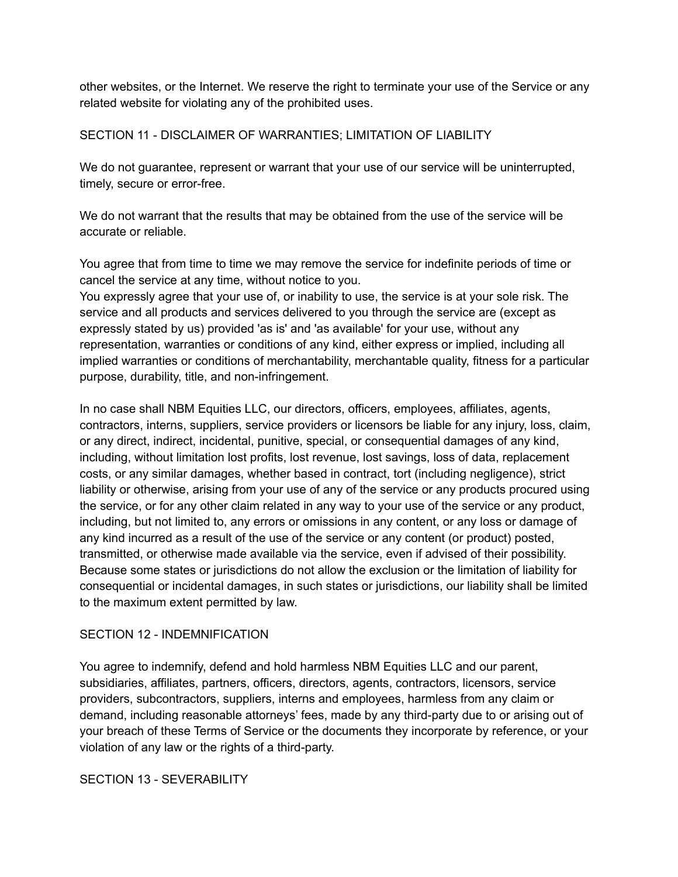other websites, or the Internet. We reserve the right to terminate your use of the Service or any related website for violating any of the prohibited uses.

## SECTION 11 - DISCLAIMER OF WARRANTIES; LIMITATION OF LIABILITY

We do not guarantee, represent or warrant that your use of our service will be uninterrupted, timely, secure or error-free.

We do not warrant that the results that may be obtained from the use of the service will be accurate or reliable.

You agree that from time to time we may remove the service for indefinite periods of time or cancel the service at any time, without notice to you.

You expressly agree that your use of, or inability to use, the service is at your sole risk. The service and all products and services delivered to you through the service are (except as expressly stated by us) provided 'as is' and 'as available' for your use, without any representation, warranties or conditions of any kind, either express or implied, including all implied warranties or conditions of merchantability, merchantable quality, fitness for a particular purpose, durability, title, and non-infringement.

In no case shall NBM Equities LLC, our directors, officers, employees, affiliates, agents, contractors, interns, suppliers, service providers or licensors be liable for any injury, loss, claim, or any direct, indirect, incidental, punitive, special, or consequential damages of any kind, including, without limitation lost profits, lost revenue, lost savings, loss of data, replacement costs, or any similar damages, whether based in contract, tort (including negligence), strict liability or otherwise, arising from your use of any of the service or any products procured using the service, or for any other claim related in any way to your use of the service or any product, including, but not limited to, any errors or omissions in any content, or any loss or damage of any kind incurred as a result of the use of the service or any content (or product) posted, transmitted, or otherwise made available via the service, even if advised of their possibility. Because some states or jurisdictions do not allow the exclusion or the limitation of liability for consequential or incidental damages, in such states or jurisdictions, our liability shall be limited to the maximum extent permitted by law.

## SECTION 12 - INDEMNIFICATION

You agree to indemnify, defend and hold harmless NBM Equities LLC and our parent, subsidiaries, affiliates, partners, officers, directors, agents, contractors, licensors, service providers, subcontractors, suppliers, interns and employees, harmless from any claim or demand, including reasonable attorneys' fees, made by any third-party due to or arising out of your breach of these Terms of Service or the documents they incorporate by reference, or your violation of any law or the rights of a third-party.

## SECTION 13 - SEVERABILITY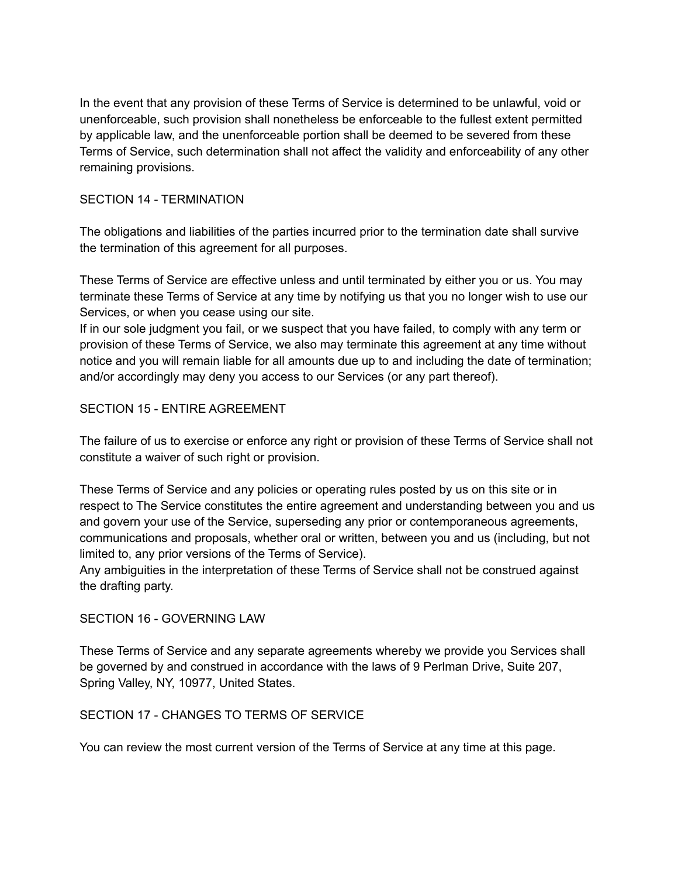In the event that any provision of these Terms of Service is determined to be unlawful, void or unenforceable, such provision shall nonetheless be enforceable to the fullest extent permitted by applicable law, and the unenforceable portion shall be deemed to be severed from these Terms of Service, such determination shall not affect the validity and enforceability of any other remaining provisions.

# SECTION 14 - TERMINATION

The obligations and liabilities of the parties incurred prior to the termination date shall survive the termination of this agreement for all purposes.

These Terms of Service are effective unless and until terminated by either you or us. You may terminate these Terms of Service at any time by notifying us that you no longer wish to use our Services, or when you cease using our site.

If in our sole judgment you fail, or we suspect that you have failed, to comply with any term or provision of these Terms of Service, we also may terminate this agreement at any time without notice and you will remain liable for all amounts due up to and including the date of termination; and/or accordingly may deny you access to our Services (or any part thereof).

## SECTION 15 - ENTIRE AGREEMENT

The failure of us to exercise or enforce any right or provision of these Terms of Service shall not constitute a waiver of such right or provision.

These Terms of Service and any policies or operating rules posted by us on this site or in respect to The Service constitutes the entire agreement and understanding between you and us and govern your use of the Service, superseding any prior or contemporaneous agreements, communications and proposals, whether oral or written, between you and us (including, but not limited to, any prior versions of the Terms of Service).

Any ambiguities in the interpretation of these Terms of Service shall not be construed against the drafting party.

## SECTION 16 - GOVERNING LAW

These Terms of Service and any separate agreements whereby we provide you Services shall be governed by and construed in accordance with the laws of 9 Perlman Drive, Suite 207, Spring Valley, NY, 10977, United States.

## SECTION 17 - CHANGES TO TERMS OF SERVICE

You can review the most current version of the Terms of Service at any time at this page.